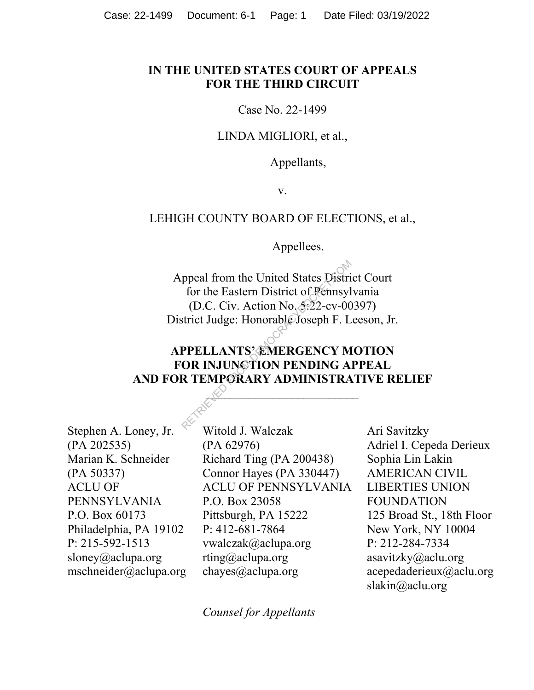### **IN THE UNITED STATES COURT OF APPEALS FOR THE THIRD CIRCUIT**

Case No. 22-1499

LINDA MIGLIORI, et al.,

Appellants,

v.

#### LEHIGH COUNTY BOARD OF ELECTIONS, et al.,

Appellees.

Appeal from the United States District Court for the Eastern District of Pennsylvania (D.C. Civ. Action No. 5:22-cv-00397) District Judge: Honorable Joseph F. Leeson, Jr. ì ppeal from the United States Distri<br>for the Eastern District of Pennsyl<br>(D.C. Civ. Action No. 5:22-cv-00<br>strict Judge: Honorable Joseph F. L<br>**PPELLANTS' EMERGENCY M<br>OR INJUNGTION PENDING A**<br>R TEMPORARY ADMINISTRA

# **APPELLANTS' EMERGENCY MOTION FOR INJUNCTION PENDING APPEAL AND FOR TEMPORARY ADMINISTRATIVE RELIEF**

 $\mathbb{R}^N$ 

Stephen A. Loney, Jr. (PA 202535) Marian K. Schneider (PA 50337) ACLU OF PENNSYLVANIA P.O. Box 60173 Philadelphia, PA 19102 P: 215-592-1513 sloney@aclupa.org mschneider@aclupa.org

Witold J. Walczak (PA 62976) Richard Ting (PA 200438) Connor Hayes (PA 330447) ACLU OF PENNSYLVANIA P.O. Box 23058 Pittsburgh, PA 15222 P: 412-681-7864 vwalczak@aclupa.org rting@aclupa.org chayes@aclupa.org

*Counsel for Appellants*

Ari Savitzky Adriel I. Cepeda Derieux Sophia Lin Lakin AMERICAN CIVIL LIBERTIES UNION FOUNDATION 125 Broad St., 18th Floor New York, NY 10004 P: 212-284-7334 asavitzky@aclu.org acepedaderieux@aclu.org slakin@aclu.org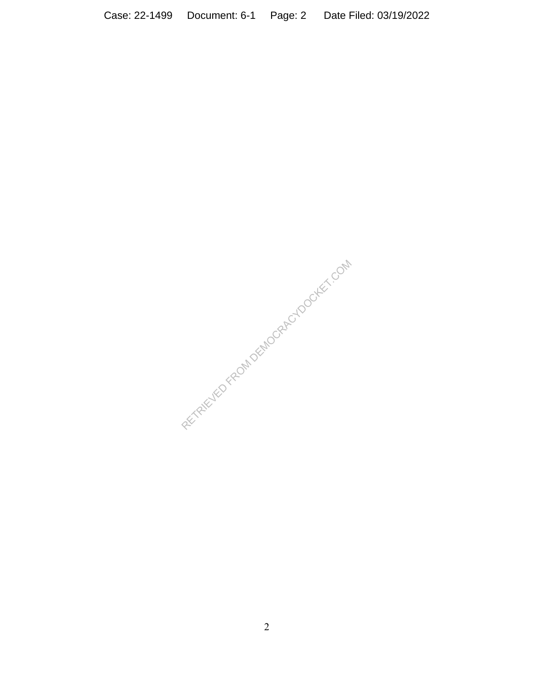RETRIEVED FROM DEMOCRACYDOCKET.COM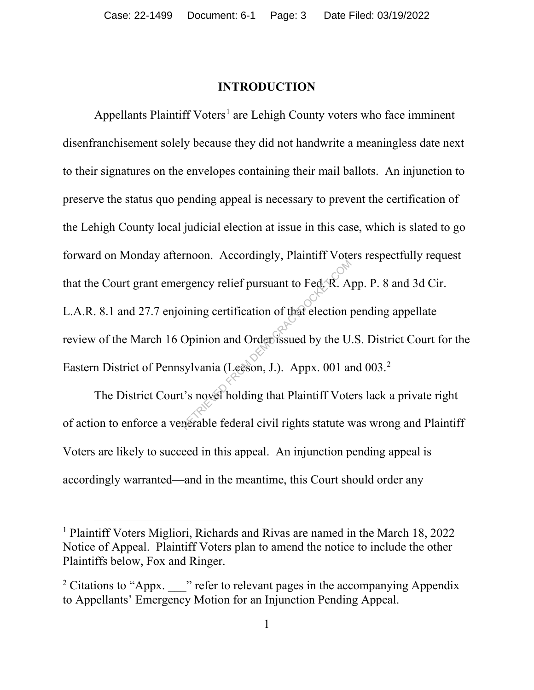#### **INTRODUCTION**

Appellants Plaintiff Voters<sup>1</sup> are Lehigh County voters who face imminent disenfranchisement solely because they did not handwrite a meaningless date next to their signatures on the envelopes containing their mail ballots. An injunction to preserve the status quo pending appeal is necessary to prevent the certification of the Lehigh County local judicial election at issue in this case, which is slated to go forward on Monday afternoon. Accordingly, Plaintiff Voters respectfully request that the Court grant emergency relief pursuant to Fed. R. App. P. 8 and 3d Cir. L.A.R. 8.1 and 27.7 enjoining certification of that election pending appellate review of the March 16 Opinion and Order issued by the U.S. District Court for the Eastern District of Pennsylvania (Leeson, J.). Appx. 001 and 003.<sup>2</sup> rgency relief pursuant to Fed. R. A<br>
bining certification of that election p<br>
Opinion and Order issued by the U<br>
sylvania (Leeson, J.). Appx. 001 and<br>
t's nover holding that Plaintiff Vote<br>
rerable federal civil rights sta

The District Court's novel holding that Plaintiff Voters lack a private right of action to enforce a venerable federal civil rights statute was wrong and Plaintiff Voters are likely to succeed in this appeal. An injunction pending appeal is accordingly warranted—and in the meantime, this Court should order any

 <sup>1</sup> Plaintiff Voters Migliori, Richards and Rivas are named in the March 18, 2022 Notice of Appeal. Plaintiff Voters plan to amend the notice to include the other Plaintiffs below, Fox and Ringer.

<sup>&</sup>lt;sup>2</sup> Citations to "Appx.  $\blacksquare$ " refer to relevant pages in the accompanying Appendix to Appellants' Emergency Motion for an Injunction Pending Appeal.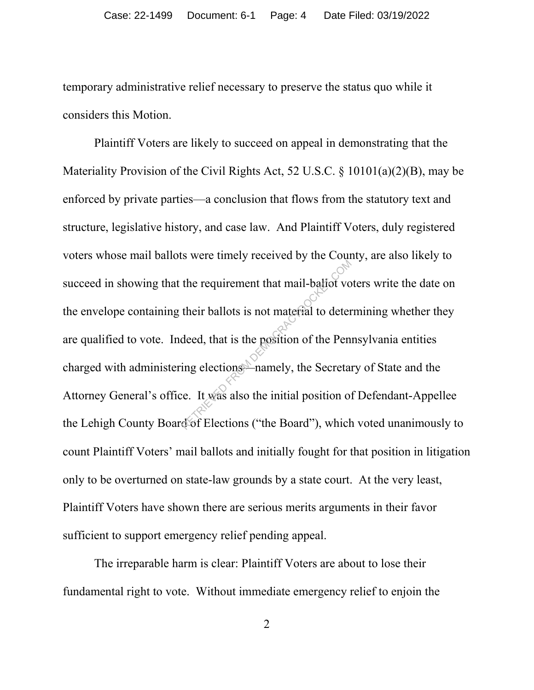temporary administrative relief necessary to preserve the status quo while it considers this Motion.

Plaintiff Voters are likely to succeed on appeal in demonstrating that the Materiality Provision of the Civil Rights Act, 52 U.S.C. § 10101(a)(2)(B), may be enforced by private parties—a conclusion that flows from the statutory text and structure, legislative history, and case law. And Plaintiff Voters, duly registered voters whose mail ballots were timely received by the County, are also likely to succeed in showing that the requirement that mail-ballot voters write the date on the envelope containing their ballots is not material to determining whether they are qualified to vote. Indeed, that is the position of the Pennsylvania entities charged with administering elections—namely, the Secretary of State and the Attorney General's office. It was also the initial position of Defendant-Appellee the Lehigh County Board of Elections ("the Board"), which voted unanimously to count Plaintiff Voters' mail ballots and initially fought for that position in litigation only to be overturned on state-law grounds by a state court. At the very least, Plaintiff Voters have shown there are serious merits arguments in their favor sufficient to support emergency relief pending appeal. the requirement that mail-balfot vo<br>their ballots is not material to deter<br>deed, that is the position of the Pen<br>ing elections—namely, the Secreta<br>ce. It was also the initial position of<br>dof Elections ("the Board"), which

The irreparable harm is clear: Plaintiff Voters are about to lose their fundamental right to vote. Without immediate emergency relief to enjoin the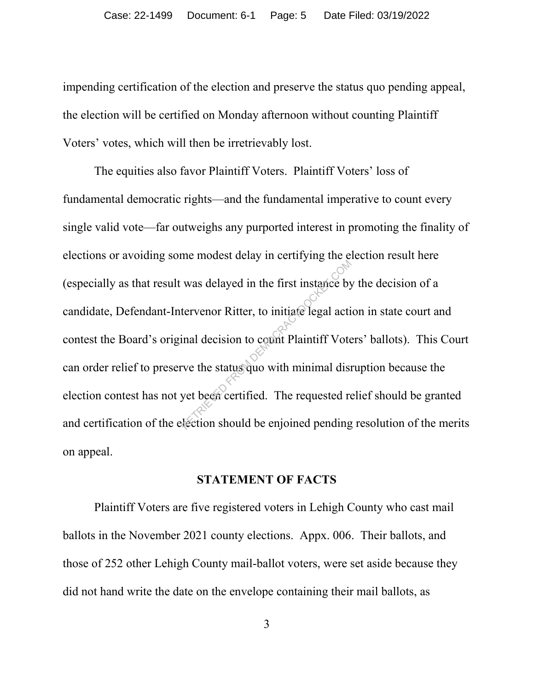impending certification of the election and preserve the status quo pending appeal, the election will be certified on Monday afternoon without counting Plaintiff Voters' votes, which will then be irretrievably lost.

The equities also favor Plaintiff Voters. Plaintiff Voters' loss of fundamental democratic rights—and the fundamental imperative to count every single valid vote—far outweighs any purported interest in promoting the finality of elections or avoiding some modest delay in certifying the election result here (especially as that result was delayed in the first instance by the decision of a candidate, Defendant-Intervenor Ritter, to initiate legal action in state court and contest the Board's original decision to count Plaintiff Voters' ballots). This Court can order relief to preserve the status quo with minimal disruption because the election contest has not yet been certified. The requested relief should be granted and certification of the election should be enjoined pending resolution of the merits on appeal. was delayed in the first instance by<br>tervenor Ritter, to initiate legal actional decision to count Plaintiff Vote<br>ve the status quo with minimal dist<br>yet been certified. The requested relation should be enjoined pending

#### **STATEMENT OF FACTS**

Plaintiff Voters are five registered voters in Lehigh County who cast mail ballots in the November 2021 county elections. Appx. 006. Their ballots, and those of 252 other Lehigh County mail-ballot voters, were set aside because they did not hand write the date on the envelope containing their mail ballots, as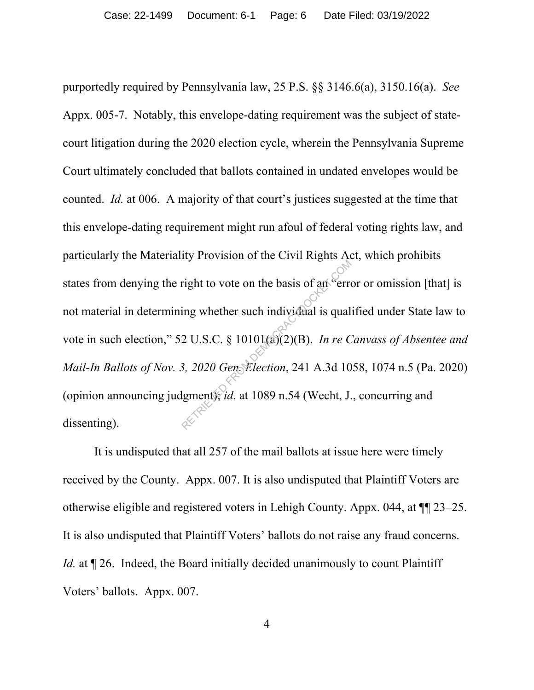purportedly required by Pennsylvania law, 25 P.S. §§ 3146.6(a), 3150.16(a). *See* Appx. 005-7. Notably, this envelope-dating requirement was the subject of statecourt litigation during the 2020 election cycle, wherein the Pennsylvania Supreme Court ultimately concluded that ballots contained in undated envelopes would be counted. *Id.* at 006. A majority of that court's justices suggested at the time that this envelope-dating requirement might run afoul of federal voting rights law, and particularly the Materiality Provision of the Civil Rights Act, which prohibits states from denying the right to vote on the basis of an error or omission [that] is not material in determining whether such individual is qualified under State law to vote in such election," 52 U.S.C. § 10101(a)(2)(B). *In re Canvass of Absentee and Mail-In Ballots of Nov. 3, 2020 Gen. Election*, 241 A.3d 1058, 1074 n.5 (Pa. 2020) (opinion announcing judgment); *id.* at 1089 n.54 (Wecht, J., concurring and dissenting). Fight to vote on the basis of an error<br>ing whether such individual is qual<br>2 U.S.C. § 10101(a)(2)(B). In re C<br>3, 2020 General election, 241 A.3d 10<br>Igment); id. at 1089 n.54 (Wecht, J.

It is undisputed that all 257 of the mail ballots at issue here were timely received by the County. Appx. 007. It is also undisputed that Plaintiff Voters are otherwise eligible and registered voters in Lehigh County. Appx. 044, at ¶¶ 23–25. It is also undisputed that Plaintiff Voters' ballots do not raise any fraud concerns. *Id.* at  $\P$  26. Indeed, the Board initially decided unanimously to count Plaintiff Voters' ballots. Appx. 007.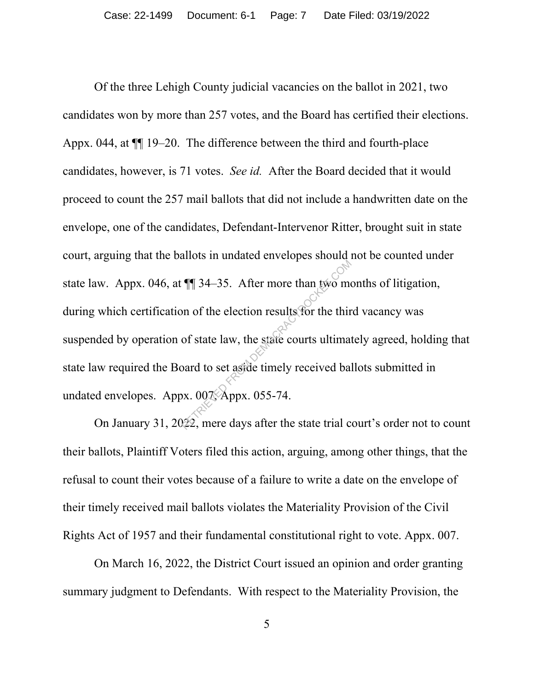Of the three Lehigh County judicial vacancies on the ballot in 2021, two candidates won by more than 257 votes, and the Board has certified their elections. Appx. 044, at ¶¶ 19–20. The difference between the third and fourth-place candidates, however, is 71 votes. *See id.* After the Board decided that it would proceed to count the 257 mail ballots that did not include a handwritten date on the envelope, one of the candidates, Defendant-Intervenor Ritter, brought suit in state court, arguing that the ballots in undated envelopes should not be counted under state law. Appx. 046, at  $\P$  34–35. After more than two months of litigation, during which certification of the election results for the third vacancy was suspended by operation of state law, the state courts ultimately agreed, holding that state law required the Board to set aside timely received ballots submitted in undated envelopes. Appx. 007; Appx. 055-74. **THE 34–35.** After more than two more of the election results for the thir of state law, the state courts ultimare of state law, the state courts ultimare of state timely received balons. 007, Appx. 055-74.

On January 31, 2022, mere days after the state trial court's order not to count their ballots, Plaintiff Voters filed this action, arguing, among other things, that the refusal to count their votes because of a failure to write a date on the envelope of their timely received mail ballots violates the Materiality Provision of the Civil Rights Act of 1957 and their fundamental constitutional right to vote. Appx. 007.

On March 16, 2022, the District Court issued an opinion and order granting summary judgment to Defendants. With respect to the Materiality Provision, the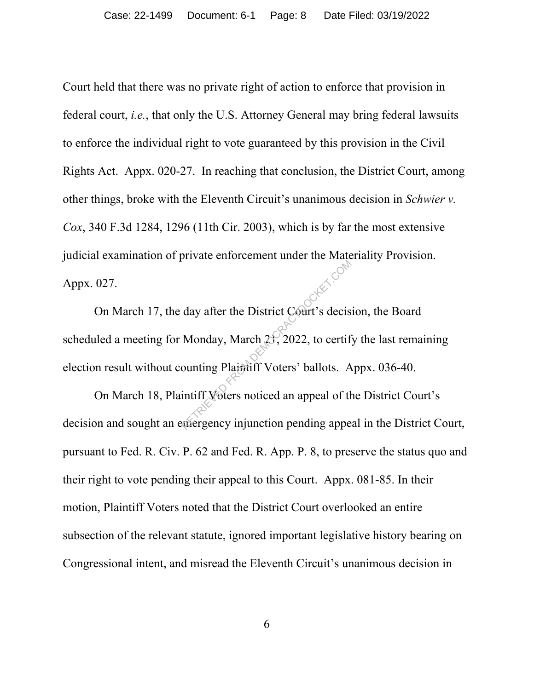Court held that there was no private right of action to enforce that provision in federal court, *i.e.*, that only the U.S. Attorney General may bring federal lawsuits to enforce the individual right to vote guaranteed by this provision in the Civil Rights Act. Appx. 020-27. In reaching that conclusion, the District Court, among other things, broke with the Eleventh Circuit's unanimous decision in *Schwier v. Cox*, 340 F.3d 1284, 1296 (11th Cir. 2003), which is by far the most extensive judicial examination of private enforcement under the Materiality Provision. Appx. 027.

On March 17, the day after the District Court's decision, the Board scheduled a meeting for Monday, March  $2\sqrt{2}$ , 2022, to certify the last remaining election result without counting Plaintiff Voters' ballots. Appx. 036-40. day after the District Court's decis<br>Monday, March 21, 2022, to certif<br>ounting Plaintiff Voters' ballots. A<br>intiff Voters noticed an appeal of the<br>mergency injunction pending appe

On March 18, Plaintiff Voters noticed an appeal of the District Court's decision and sought an emergency injunction pending appeal in the District Court, pursuant to Fed. R. Civ. P. 62 and Fed. R. App. P. 8, to preserve the status quo and their right to vote pending their appeal to this Court. Appx. 081-85. In their motion, Plaintiff Voters noted that the District Court overlooked an entire subsection of the relevant statute, ignored important legislative history bearing on Congressional intent, and misread the Eleventh Circuit's unanimous decision in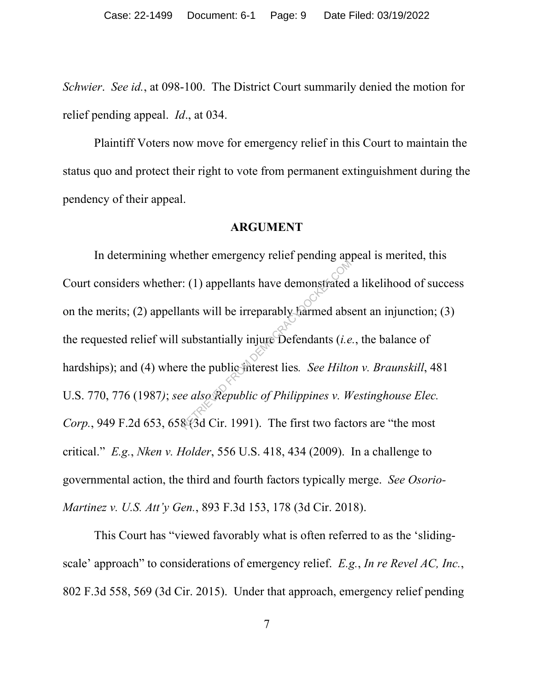*Schwier*. *See id.*, at 098-100. The District Court summarily denied the motion for relief pending appeal. *Id*., at 034.

Plaintiff Voters now move for emergency relief in this Court to maintain the status quo and protect their right to vote from permanent extinguishment during the pendency of their appeal.

#### **ARGUMENT**

In determining whether emergency relief pending appeal is merited, this Court considers whether: (1) appellants have demonstrated a likelihood of success on the merits; (2) appellants will be irreparably harmed absent an injunction; (3) the requested relief will substantially injure Defendants (*i.e.*, the balance of hardships); and (4) where the public interest lies*. See Hilton v. Braunskill*, 481 U.S. 770, 776 (1987*)*; *see also Republic of Philippines v. Westinghouse Elec. Corp.*, 949 F.2d 653, 658 (3d Cir. 1991). The first two factors are "the most critical." *E.g.*, *Nken v. Holder*, 556 U.S. 418, 434 (2009). In a challenge to governmental action, the third and fourth factors typically merge. *See Osorio-Martinez v. U.S. Att'y Gen.*, 893 F.3d 153, 178 (3d Cir. 2018).  $R(1)$  appellants have demonstrated<br>ants will be irreparably harmed abs<br>substantially injure Defendants (*i.e*<br>re the public interest lies. *See Hilto*<br>*e also Republic of Philippines v. W*<br>8(3d Cir. 1991). The first two

This Court has "viewed favorably what is often referred to as the 'slidingscale' approach" to considerations of emergency relief. *E.g.*, *In re Revel AC, Inc.*, 802 F.3d 558, 569 (3d Cir. 2015). Under that approach, emergency relief pending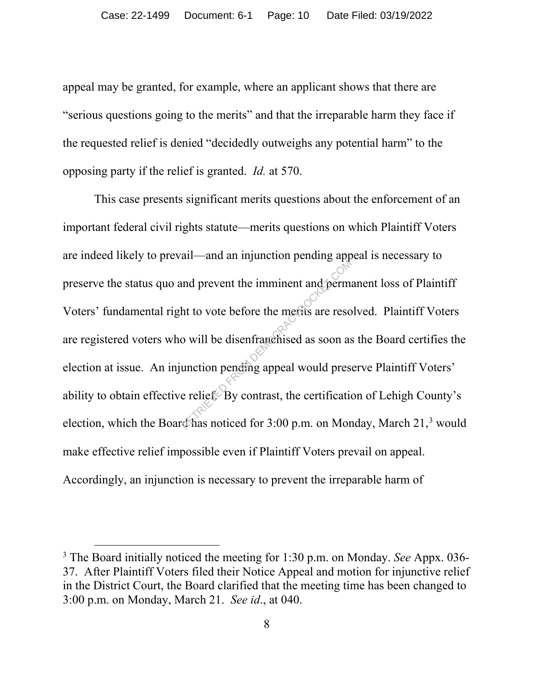appeal may be granted, for example, where an applicant shows that there are "serious questions going to the merits" and that the irreparable harm they face if the requested relief is denied "decidedly outweighs any potential harm" to the opposing party if the relief is granted. *Id.* at 570.

This case presents significant merits questions about the enforcement of an important federal civil rights statute—merits questions on which Plaintiff Voters are indeed likely to prevail—and an injunction pending appeal is necessary to preserve the status quo and prevent the imminent and permanent loss of Plaintiff Voters' fundamental right to vote before the merits are resolved. Plaintiff Voters are registered voters who will be disenfranchised as soon as the Board certifies the election at issue. An injunction pending appeal would preserve Plaintiff Voters' ability to obtain effective relief. By contrast, the certification of Lehigh County's election, which the Board has noticed for  $3:00$  p.m. on Monday, March  $21<sup>3</sup>$  would make effective relief impossible even if Plaintiff Voters prevail on appeal. Accordingly, an injunction is necessary to prevent the irreparable harm of and prevent the imminent and perm<br>ht to vote before the merits are reso<br>o will be disenfranchised as soon as<br>unction penging appeal would pres<br>e relief. By contrast, the certification<br>of thas noticed for 3:00 p.m. on Mor

 <sup>3</sup> The Board initially noticed the meeting for 1:30 p.m. on Monday. *See* Appx. 036- 37. After Plaintiff Voters filed their Notice Appeal and motion for injunctive relief in the District Court, the Board clarified that the meeting time has been changed to 3:00 p.m. on Monday, March 21. *See id*., at 040.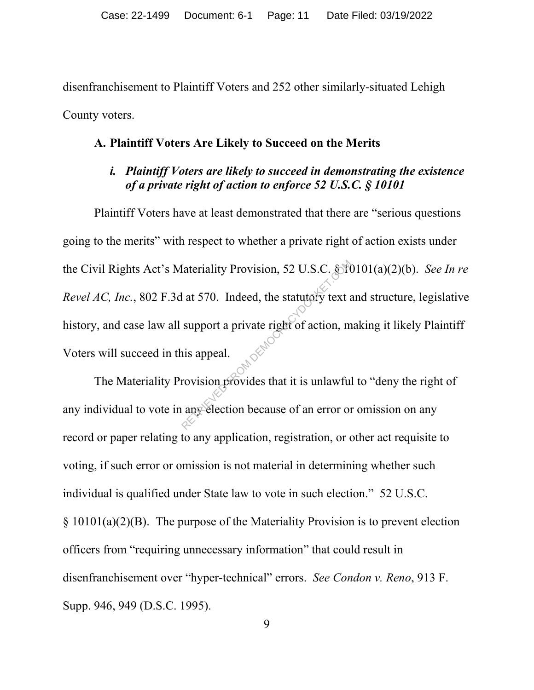disenfranchisement to Plaintiff Voters and 252 other similarly-situated Lehigh County voters.

### **A. Plaintiff Voters Are Likely to Succeed on the Merits**

## *i. Plaintiff Voters are likely to succeed in demonstrating the existence of a private right of action to enforce 52 U.S.C. § 10101*

Plaintiff Voters have at least demonstrated that there are "serious questions going to the merits" with respect to whether a private right of action exists under the Civil Rights Act's Materiality Provision, 52 U.S.C. § 10101(a)(2)(b). *See In re Revel AC, Inc.*, 802 F.3d at 570. Indeed, the statutory text and structure, legislative history, and case law all support a private right of action, making it likely Plaintiff Voters will succeed in this appeal. The Islam of the statutory text and the statutory text as<br>the statutory text as<br>the support a private right of action, m<br>is appeal.<br>rovision provides that it is unlawful<br>any election because of an error of

The Materiality Provision provides that it is unlawful to "deny the right of any individual to vote in any election because of an error or omission on any record or paper relating to any application, registration, or other act requisite to voting, if such error or omission is not material in determining whether such individual is qualified under State law to vote in such election." 52 U.S.C. § 10101(a)(2)(B). The purpose of the Materiality Provision is to prevent election officers from "requiring unnecessary information" that could result in disenfranchisement over "hyper-technical" errors. *See Condon v. Reno*, 913 F. Supp. 946, 949 (D.S.C. 1995).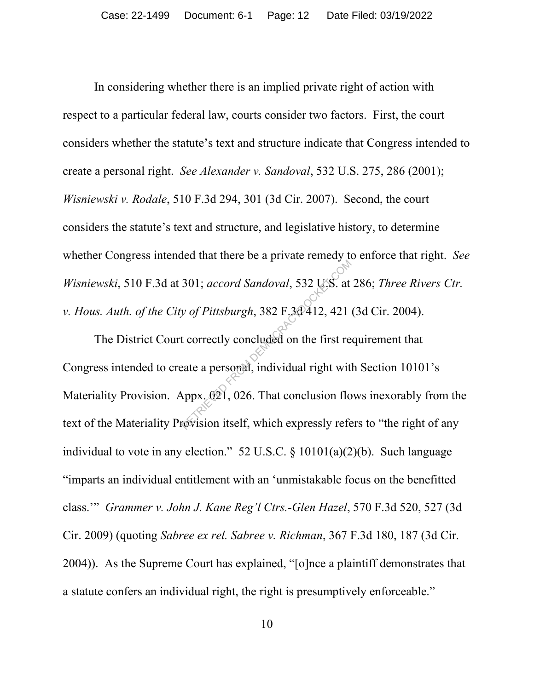In considering whether there is an implied private right of action with respect to a particular federal law, courts consider two factors. First, the court considers whether the statute's text and structure indicate that Congress intended to create a personal right. *See Alexander v. Sandoval*, 532 U.S. 275, 286 (2001); *Wisniewski v. Rodale*, 510 F.3d 294, 301 (3d Cir. 2007). Second, the court considers the statute's text and structure, and legislative history, to determine whether Congress intended that there be a private remedy to enforce that right. *See Wisniewski*, 510 F.3d at 301; *accord Sandoval*, 532 U.S. at 286; *Three Rivers Ctr. v. Hous. Auth. of the City of Pittsburgh*, 382 F.3d 412, 421 (3d Cir. 2004).

The District Court correctly concluded on the first requirement that Congress intended to create a personal, individual right with Section 10101's Materiality Provision. Appx. 021, 026. That conclusion flows inexorably from the text of the Materiality Provision itself, which expressly refers to "the right of any individual to vote in any election." 52 U.S.C.  $\S$  10101(a)(2)(b). Such language "imparts an individual entitlement with an 'unmistakable focus on the benefitted class.'" *Grammer v. John J. Kane Reg'l Ctrs.-Glen Hazel*, 570 F.3d 520, 527 (3d Cir. 2009) (quoting *Sabree ex rel. Sabree v. Richman*, 367 F.3d 180, 187 (3d Cir. 2004)).As the Supreme Court has explained, "[o]nce a plaintiff demonstrates that a statute confers an individual right, the right is presumptively enforceable." 301; accord Sandoval, 532 U.S. at<br>y of Pittsburgh, 382 F.3d 412, 421<br>t correctly concluded on the first re<br>eate a personal, individual right with<br>sppx. 021, 026. That conclusion florewision itself, which expressly refer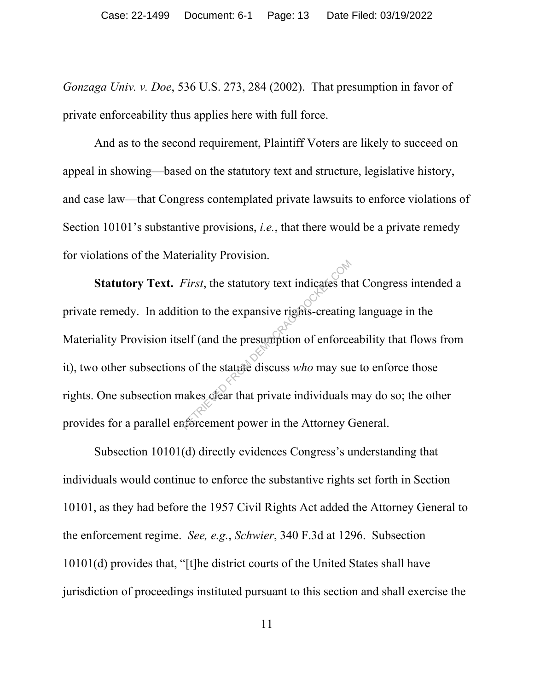*Gonzaga Univ. v. Doe*, 536 U.S. 273, 284 (2002). That presumption in favor of private enforceability thus applies here with full force.

And as to the second requirement, Plaintiff Voters are likely to succeed on appeal in showing—based on the statutory text and structure, legislative history, and case law—that Congress contemplated private lawsuits to enforce violations of Section 10101's substantive provisions, *i.e.*, that there would be a private remedy for violations of the Materiality Provision.

**Statutory Text.** *First*, the statutory text indicates that Congress intended a private remedy. In addition to the expansive rights-creating language in the Materiality Provision itself (and the presumption of enforceability that flows from it), two other subsections of the statute discuss *who* may sue to enforce those rights. One subsection makes clear that private individuals may do so; the other provides for a parallel enforcement power in the Attorney General. First, the statutory text indicates that<br>tion to the expansive rights-creating<br>elf (and the presumption of enforce<br>s of the statute discuss who may sue<br>nakes of the statute individuals

Subsection 10101(d) directly evidences Congress's understanding that individuals would continue to enforce the substantive rights set forth in Section 10101, as they had before the 1957 Civil Rights Act added the Attorney General to the enforcement regime. *See, e.g.*, *Schwier*, 340 F.3d at 1296. Subsection 10101(d) provides that, "[t]he district courts of the United States shall have jurisdiction of proceedings instituted pursuant to this section and shall exercise the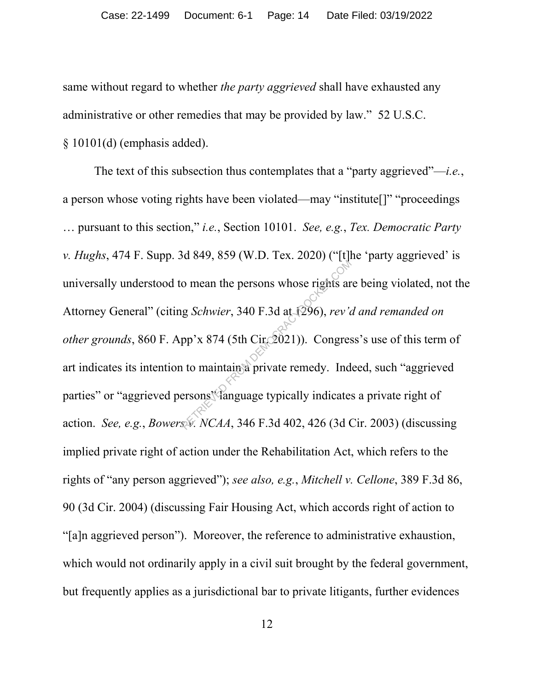same without regard to whether *the party aggrieved* shall have exhausted any administrative or other remedies that may be provided by law." 52 U.S.C. § 10101(d) (emphasis added).

The text of this subsection thus contemplates that a "party aggrieved"—*i.e.*, a person whose voting rights have been violated—may "institute[]" "proceedings … pursuant to this section," *i.e.*, Section 10101. *See, e.g.*, *Tex. Democratic Party v. Hughs*, 474 F. Supp. 3d 849, 859 (W.D. Tex. 2020) ("[t]he 'party aggrieved' is universally understood to mean the persons whose rights are being violated, not the Attorney General" (citing *Schwier*, 340 F.3d at 1296), *rev'd and remanded on other grounds*, 860 F. App'x 874 (5th Cir.  $2021$ )). Congress's use of this term of art indicates its intention to maintain a private remedy. Indeed, such "aggrieved parties" or "aggrieved persons" language typically indicates a private right of action. *See, e.g.*, *Bowers v. NCAA*, 346 F.3d 402, 426 (3d Cir. 2003) (discussing implied private right of action under the Rehabilitation Act, which refers to the rights of "any person aggrieved"); *see also, e.g.*, *Mitchell v. Cellone*, 389 F.3d 86, 90 (3d Cir. 2004) (discussing Fair Housing Act, which accords right of action to "[a]n aggrieved person"). Moreover, the reference to administrative exhaustion, which would not ordinarily apply in a civil suit brought by the federal government, but frequently applies as a jurisdictional bar to private litigants, further evidences o mean the persons whose rights are g Schwier, 340 F.3d at 1296), rev'd<br>pp'x 874 (5th Circ2021)). Congres<br>to maintain a private remedy. Ind<br>ersons anguage typically indicates<br>sex. NCAA, 346 F.3d 402, 426 (3d C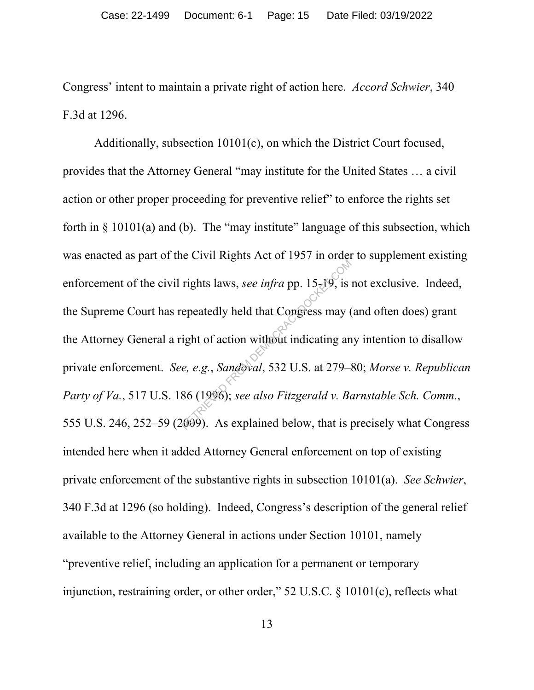Congress' intent to maintain a private right of action here. *Accord Schwier*, 340 F.3d at 1296.

Additionally, subsection 10101(c), on which the District Court focused, provides that the Attorney General "may institute for the United States … a civil action or other proper proceeding for preventive relief" to enforce the rights set forth in  $\S$  10101(a) and (b). The "may institute" language of this subsection, which was enacted as part of the Civil Rights Act of 1957 in order to supplement existing enforcement of the civil rights laws, *see infra* pp. 15-19, is not exclusive. Indeed, the Supreme Court has repeatedly held that Congress may (and often does) grant the Attorney General a right of action without indicating any intention to disallow private enforcement. *See, e.g.*, *Sandoval*, 532 U.S. at 279–80; *Morse v. Republican Party of Va.*, 517 U.S. 186 (1996); *see also Fitzgerald v. Barnstable Sch. Comm.*, 555 U.S. 246, 252–59 (2009). As explained below, that is precisely what Congress intended here when it added Attorney General enforcement on top of existing private enforcement of the substantive rights in subsection 10101(a). *See Schwier*, 340 F.3d at 1296 (so holding). Indeed, Congress's description of the general relief available to the Attorney General in actions under Section 10101, namely "preventive relief, including an application for a permanent or temporary injunction, restraining order, or other order," 52 U.S.C. § 10101(c), reflects what rights laws, *see infra* pp. 15-19, is<br>epeatedly held that Congress may (<br>ight of action without indicating an<br>e, e.g., *Sandeval*, 532 U.S. at 279-86<br>(1996); *see also Fitzgerald v. Be*<br>(1999). As explained below, that i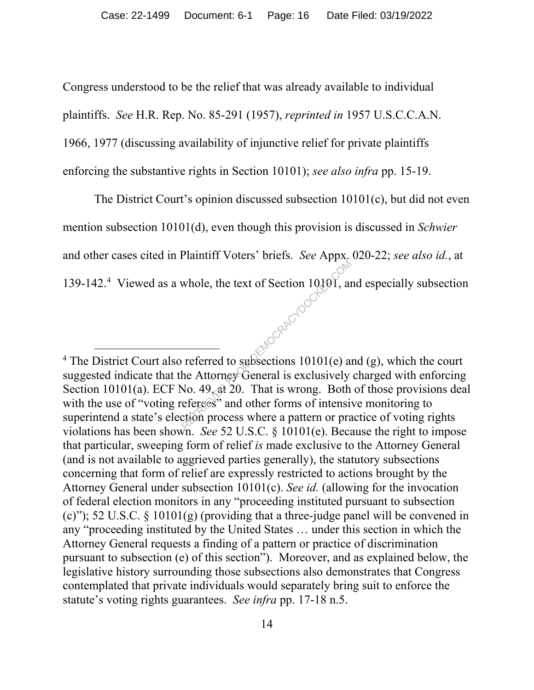Congress understood to be the relief that was already available to individual plaintiffs. *See* H.R. Rep. No. 85-291 (1957), *reprinted in* 1957 U.S.C.C.A.N. 1966, 1977 (discussing availability of injunctive relief for private plaintiffs enforcing the substantive rights in Section 10101); *see also infra* pp. 15-19.

The District Court's opinion discussed subsection 10101(c), but did not even mention subsection 10101(d), even though this provision is discussed in *Schwier* and other cases cited in Plaintiff Voters' briefs. *See* Appx. 020-22; *see also id.*, at 139-142. 4 Viewed as a whole, the text of Section 10101, and especially subsection MOCRAFOLDOCK

<sup>&</sup>lt;sup>4</sup> The District Court also referred to subsections  $10101(e)$  and (g), which the court suggested indicate that the Attorney General is exclusively charged with enforcing Section 10101(a). ECF No. 49, at 20. That is wrong. Both of those provisions deal with the use of "voting referees" and other forms of intensive monitoring to superintend a state's election process where a pattern or practice of voting rights violations has been shown. *See* 52 U.S.C. § 10101(e). Because the right to impose that particular, sweeping form of relief *is* made exclusive to the Attorney General (and is not available to aggrieved parties generally), the statutory subsections concerning that form of relief are expressly restricted to actions brought by the Attorney General under subsection 10101(c). *See id.* (allowing for the invocation of federal election monitors in any "proceeding instituted pursuant to subsection (c)"); 52 U.S.C.  $\S$  10101(g) (providing that a three-judge panel will be convened in any "proceeding instituted by the United States … under this section in which the Attorney General requests a finding of a pattern or practice of discrimination pursuant to subsection (e) of this section"). Moreover, and as explained below, the legislative history surrounding those subsections also demonstrates that Congress contemplated that private individuals would separately bring suit to enforce the statute's voting rights guarantees. *See infra* pp. 17-18 n.5.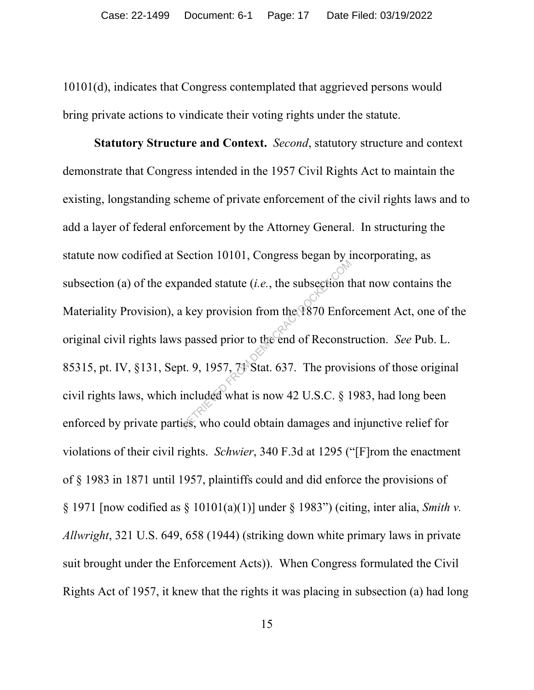10101(d), indicates that Congress contemplated that aggrieved persons would bring private actions to vindicate their voting rights under the statute.

**Statutory Structure and Context.** *Second*, statutory structure and context demonstrate that Congress intended in the 1957 Civil Rights Act to maintain the existing, longstanding scheme of private enforcement of the civil rights laws and to add a layer of federal enforcement by the Attorney General. In structuring the statute now codified at Section 10101, Congress began by incorporating, as subsection (a) of the expanded statute (*i.e.*, the subsection that now contains the Materiality Provision), a key provision from the 1870 Enforcement Act, one of the original civil rights laws passed prior to the end of Reconstruction. *See* Pub. L. 85315, pt. IV, §131, Sept. 9, 1957, 7<sup>§</sup> Stat. 637. The provisions of those original civil rights laws, which included what is now 42 U.S.C. § 1983, had long been enforced by private parties, who could obtain damages and injunctive relief for violations of their civil rights. *Schwier*, 340 F.3d at 1295 ("[F]rom the enactment of § 1983 in 1871 until 1957, plaintiffs could and did enforce the provisions of § 1971 [now codified as § 10101(a)(1)] under § 1983") (citing, inter alia, *Smith v. Allwright*, 321 U.S. 649, 658 (1944) (striking down white primary laws in private suit brought under the Enforcement Acts)). When Congress formulated the Civil Rights Act of 1957, it knew that the rights it was placing in subsection (a) had long anded statute (*i.e.*, the subsection the 1870 Enformation of Reconstant Passed prior to the end of Reconstitution.<br>The provision from the 1870 Enformation passed prior to the end of Reconstitution.<br>The provision could be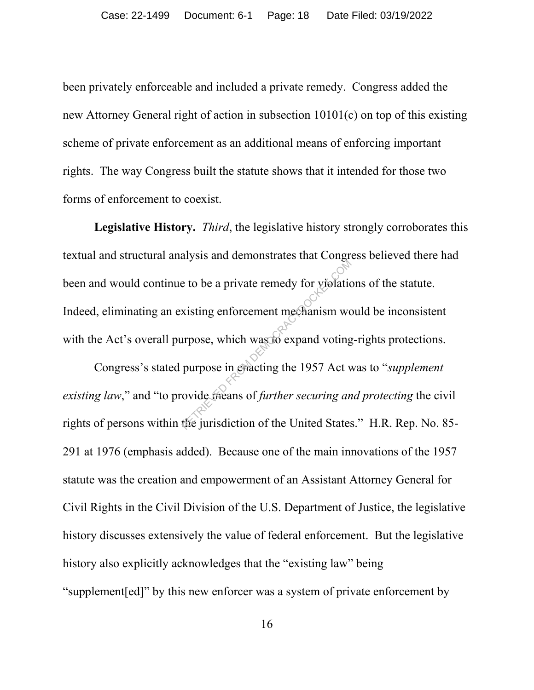been privately enforceable and included a private remedy. Congress added the new Attorney General right of action in subsection 10101(c) on top of this existing scheme of private enforcement as an additional means of enforcing important rights. The way Congress built the statute shows that it intended for those two forms of enforcement to coexist.

**Legislative History.** *Third*, the legislative history strongly corroborates this textual and structural analysis and demonstrates that Congress believed there had been and would continue to be a private remedy for violations of the statute. Indeed, eliminating an existing enforcement mechanism would be inconsistent with the Act's overall purpose, which was  $\vec{\omega}$  expand voting-rights protections. e to be a private remedy for violation<br>xisting enforcement mechanism work<br>urpose, which was to expand voting<br>purpose in enacting the 1957 Act v<br>ovide means of *further securing an*<br>the jurisdiction of the United States

Congress's stated purpose in enacting the 1957 Act was to "*supplement existing law*," and "to provide means of *further securing and protecting* the civil rights of persons within the jurisdiction of the United States." H.R. Rep. No. 85- 291 at 1976 (emphasis added). Because one of the main innovations of the 1957 statute was the creation and empowerment of an Assistant Attorney General for Civil Rights in the Civil Division of the U.S. Department of Justice, the legislative history discusses extensively the value of federal enforcement. But the legislative history also explicitly acknowledges that the "existing law" being "supplement[ed]" by this new enforcer was a system of private enforcement by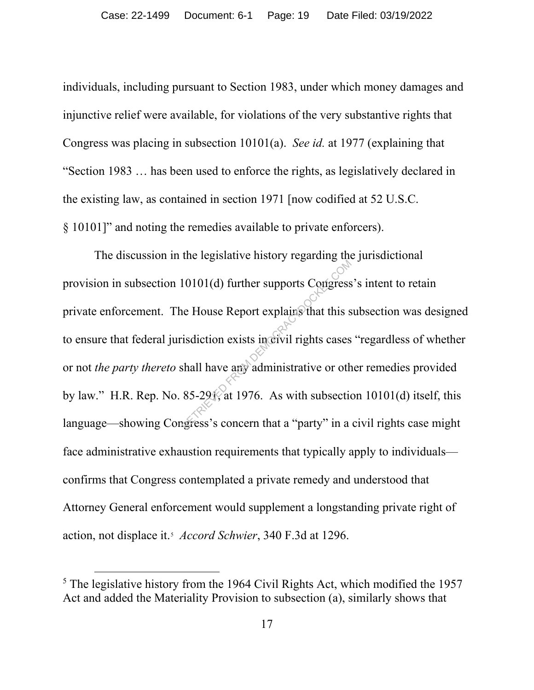individuals, including pursuant to Section 1983, under which money damages and injunctive relief were available, for violations of the very substantive rights that Congress was placing in subsection 10101(a). *See id.* at 1977 (explaining that "Section 1983 … has been used to enforce the rights, as legislatively declared in the existing law, as contained in section 1971 [now codified at 52 U.S.C. § 10101]" and noting the remedies available to private enforcers).

The discussion in the legislative history regarding the jurisdictional provision in subsection 10101(d) further supports Congress's intent to retain private enforcement. The House Report explains that this subsection was designed to ensure that federal jurisdiction exists in civil rights cases "regardless of whether or not *the party thereto* shall have any administrative or other remedies provided by law." H.R. Rep. No. 85-29 $\frac{1}{2}$  at 1976. As with subsection 10101(d) itself, this language—showing Congress's concern that a "party" in a civil rights case might face administrative exhaustion requirements that typically apply to individuals confirms that Congress contemplated a private remedy and understood that Attorney General enforcement would supplement a longstanding private right of action, not displace it.5 *Accord Schwier*, 340 F.3d at 1296. 10101(d) further supports Congress<br>
is House Report explains that this s<br>
is diction exists in civil rights cases<br>
shall have any administrative or oth<br>
85-291, at 1976. As with subsection<br>
gress's concern that a "party" i

<sup>&</sup>lt;sup>5</sup> The legislative history from the 1964 Civil Rights Act, which modified the 1957 Act and added the Materiality Provision to subsection (a), similarly shows that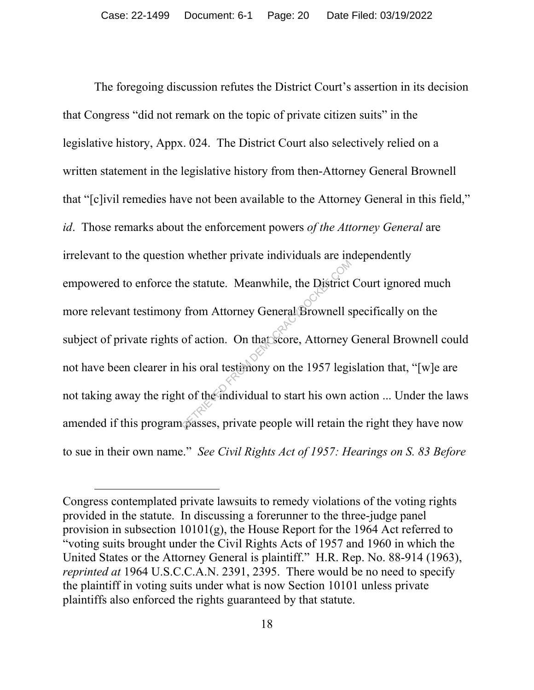The foregoing discussion refutes the District Court's assertion in its decision that Congress "did not remark on the topic of private citizen suits" in the legislative history, Appx. 024. The District Court also selectively relied on a written statement in the legislative history from then-Attorney General Brownell that "[c]ivil remedies have not been available to the Attorney General in this field," *id*. Those remarks about the enforcement powers *of the Attorney General* are irrelevant to the question whether private individuals are independently empowered to enforce the statute. Meanwhile, the District Court ignored much more relevant testimony from Attorney General Brownell specifically on the subject of private rights of action. On that score, Attorney General Brownell could not have been clearer in his oral testimony on the 1957 legislation that, "[w]e are not taking away the right of the individual to start his own action ... Under the laws amended if this program passes, private people will retain the right they have now to sue in their own name." *See Civil Rights Act of 1957: Hearings on S. 83 Before*  The statute. Meanwhile, the District<br>from Attorney General Brownell s<br>of action. On that score, Attorney<br>his oral testimony on the 1957 legi<br>t of the individual to start his own a<br>passes, private people will retain to

 $\overline{a}$ 

Congress contemplated private lawsuits to remedy violations of the voting rights provided in the statute. In discussing a forerunner to the three-judge panel provision in subsection 10101(g), the House Report for the 1964 Act referred to "voting suits brought under the Civil Rights Acts of 1957 and 1960 in which the United States or the Attorney General is plaintiff." H.R. Rep. No. 88-914 (1963), *reprinted at* 1964 U.S.C.C.A.N. 2391, 2395. There would be no need to specify the plaintiff in voting suits under what is now Section 10101 unless private plaintiffs also enforced the rights guaranteed by that statute.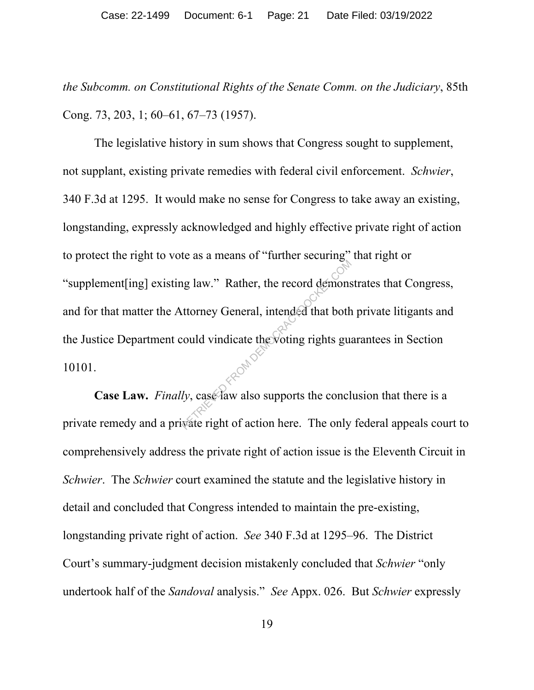*the Subcomm. on Constitutional Rights of the Senate Comm. on the Judiciary*, 85th Cong. 73, 203, 1; 60–61, 67–73 (1957).

The legislative history in sum shows that Congress sought to supplement, not supplant, existing private remedies with federal civil enforcement. *Schwier*, 340 F.3d at 1295. It would make no sense for Congress to take away an existing, longstanding, expressly acknowledged and highly effective private right of action to protect the right to vote as a means of "further securing" that right or "supplement[ing] existing law." Rather, the record demonstrates that Congress, and for that matter the Attorney General, intended that both private litigants and the Justice Department could vindicate the voting rights guarantees in Section 10101. In the record demonstrated and the record demonstrated that both could vindicate the voting rights guardised.<br>Compared that both could vindicate the voting rights guardised by example and the conclusion of action here. The

**Case Law.** Finally, case law also supports the conclusion that there is a private remedy and a private right of action here. The only federal appeals court to comprehensively address the private right of action issue is the Eleventh Circuit in *Schwier*. The *Schwier* court examined the statute and the legislative history in detail and concluded that Congress intended to maintain the pre-existing, longstanding private right of action. *See* 340 F.3d at 1295–96. The District Court's summary-judgment decision mistakenly concluded that *Schwier* "only undertook half of the *Sandoval* analysis." *See* Appx. 026. But *Schwier* expressly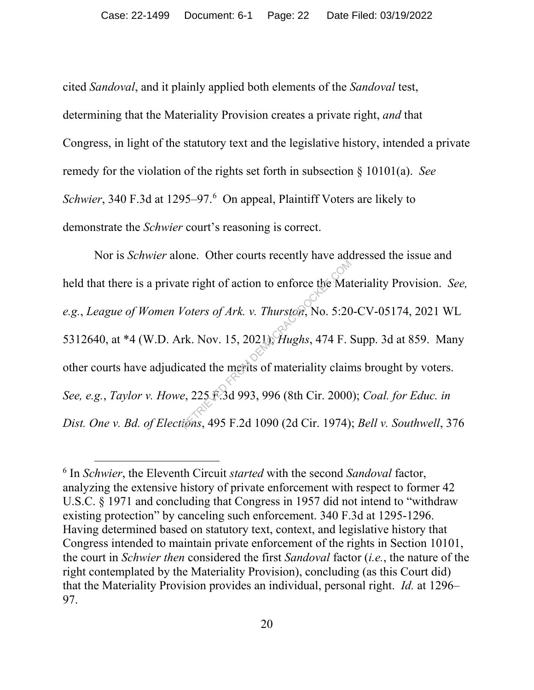cited *Sandoval*, and it plainly applied both elements of the *Sandoval* test, determining that the Materiality Provision creates a private right, *and* that Congress, in light of the statutory text and the legislative history, intended a private remedy for the violation of the rights set forth in subsection § 10101(a). *See*  Schwier, 340 F.3d at 1295–97.<sup>6</sup> On appeal, Plaintiff Voters are likely to demonstrate the *Schwier* court's reasoning is correct.

Nor is *Schwier* alone. Other courts recently have addressed the issue and held that there is a private right of action to enforce the Materiality Provision. *See, e.g.*, *League of Women Voters of Ark. v. Thurston*, No. 5:20-CV-05174, 2021 WL 5312640, at \*4 (W.D. Ark. Nov. 15, 2021); *Hughs*, 474 F. Supp. 3d at 859. Many other courts have adjudicated the merits of materiality claims brought by voters. *See, e.g.*, *Taylor v. Howe*, 225 F.3d 993, 996 (8th Cir. 2000); *Coal. for Educ. in Dist. One v. Bd. of Elections*, 495 F.2d 1090 (2d Cir. 1974); *Bell v. Southwell*, 376 te right of action to enforce the Material Voters of Ark. v. Thurston, No. 5:20<br>The New Yoters of Ark. v. Thurston, No. 5:20<br>The New Yoters of materiality claim<br>cated the ments of materiality claim<br>e, 225 F.3d 993, 996 (8

 <sup>6</sup> In *Schwier*, the Eleventh Circuit *started* with the second *Sandoval* factor, analyzing the extensive history of private enforcement with respect to former 42 U.S.C. § 1971 and concluding that Congress in 1957 did not intend to "withdraw existing protection" by canceling such enforcement. 340 F.3d at 1295-1296. Having determined based on statutory text, context, and legislative history that Congress intended to maintain private enforcement of the rights in Section 10101, the court in *Schwier then* considered the first *Sandoval* factor (*i.e.*, the nature of the right contemplated by the Materiality Provision), concluding (as this Court did) that the Materiality Provision provides an individual, personal right. *Id.* at 1296– 97.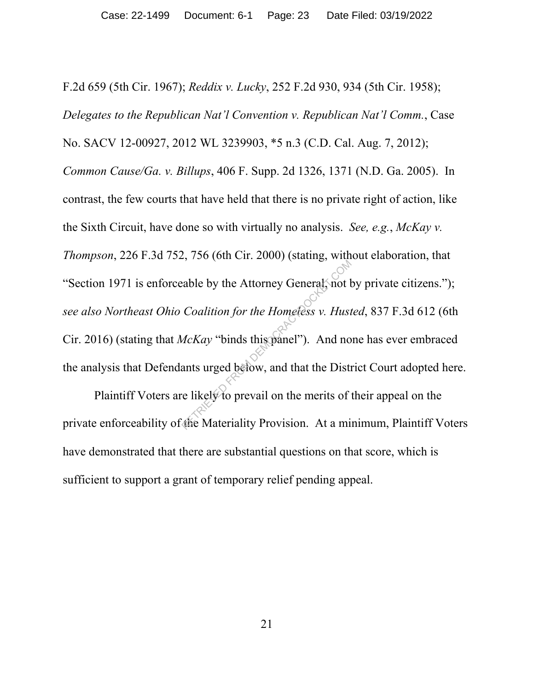F.2d 659 (5th Cir. 1967); *Reddix v. Lucky*, 252 F.2d 930, 934 (5th Cir. 1958); *Delegates to the Republican Nat'l Convention v. Republican Nat'l Comm.*, Case No. SACV 12-00927, 2012 WL 3239903, \*5 n.3 (C.D. Cal. Aug. 7, 2012); *Common Cause/Ga. v. Billups*, 406 F. Supp. 2d 1326, 1371 (N.D. Ga. 2005). In contrast, the few courts that have held that there is no private right of action, like the Sixth Circuit, have done so with virtually no analysis. *See, e.g.*, *McKay v. Thompson*, 226 F.3d 752, 756 (6th Cir. 2000) (stating, without elaboration, that "Section 1971 is enforceable by the Attorney General, not by private citizens."); *see also Northeast Ohio Coalition for the Homeless v. Husted*, 837 F.3d 612 (6th Cir. 2016) (stating that *McKay* "binds this panel"). And none has ever embraced the analysis that Defendants urged below, and that the District Court adopted here. Exable by the Attorney General, not leads<br>Coalition for the Homeless v. Hust<br>AcKay "binds this panel"). And no<br>ants urged below, and that the District is likely to prevail on the merits of

Plaintiff Voters are likely to prevail on the merits of their appeal on the private enforceability of the Materiality Provision. At a minimum, Plaintiff Voters have demonstrated that there are substantial questions on that score, which is sufficient to support a grant of temporary relief pending appeal.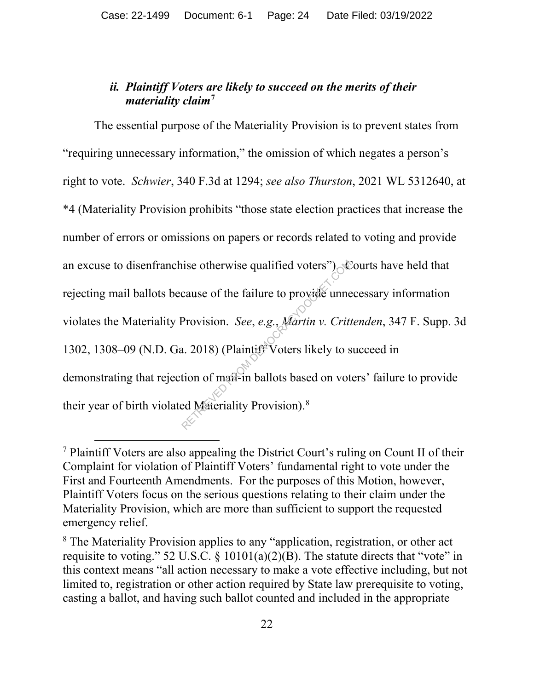## *ii. Plaintiff Voters are likely to succeed on the merits of their materiality claim***<sup>7</sup>**

The essential purpose of the Materiality Provision is to prevent states from "requiring unnecessary information," the omission of which negates a person's right to vote. *Schwier*, 340 F.3d at 1294; *see also Thurston*, 2021 WL 5312640, at \*4 (Materiality Provision prohibits "those state election practices that increase the number of errors or omissions on papers or records related to voting and provide an excuse to disenfranchise otherwise qualified voters"). Courts have held that rejecting mail ballots because of the failure to provide unnecessary information violates the Materiality Provision. *See*, *e.g.*, *Martin v. Crittenden*, 347 F. Supp. 3d 1302, 1308–09 (N.D. Ga. 2018) (Plaintiff Voters likely to succeed in demonstrating that rejection of mail-in ballots based on voters' failure to provide their year of birth violated Materiality Provision).<sup>8</sup> ise otherwise qualified voters")<br>cause of the failure to provide unne<br>Provision. *See, e.g., Martin v. Critical*.<br>2018) (Plaintiff Voters likely to s<br>tion of mail-in ballots based on voted Materiality Provision).<sup>8</sup>

 <sup>7</sup> Plaintiff Voters are also appealing the District Court's ruling on Count II of their Complaint for violation of Plaintiff Voters' fundamental right to vote under the First and Fourteenth Amendments. For the purposes of this Motion, however, Plaintiff Voters focus on the serious questions relating to their claim under the Materiality Provision, which are more than sufficient to support the requested emergency relief.

<sup>&</sup>lt;sup>8</sup> The Materiality Provision applies to any "application, registration, or other act requisite to voting." 52 U.S.C.  $\S$  10101(a)(2)(B). The statute directs that "vote" in this context means "all action necessary to make a vote effective including, but not limited to, registration or other action required by State law prerequisite to voting, casting a ballot, and having such ballot counted and included in the appropriate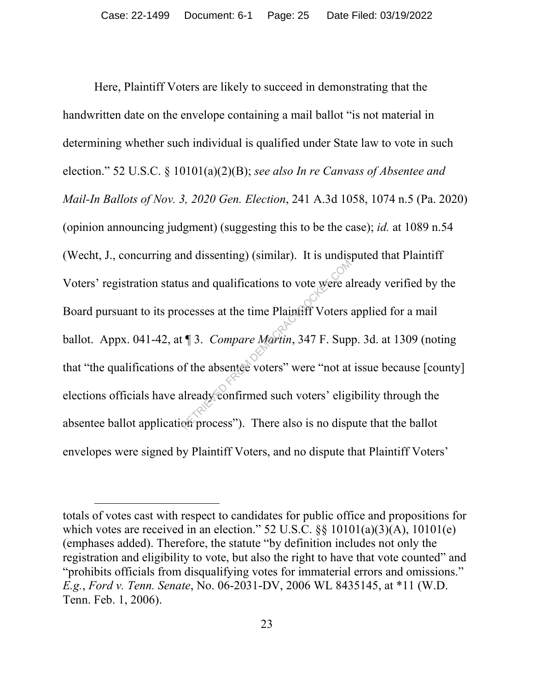Here, Plaintiff Voters are likely to succeed in demonstrating that the handwritten date on the envelope containing a mail ballot "is not material in determining whether such individual is qualified under State law to vote in such election." 52 U.S.C. § 10101(a)(2)(B); *see also In re Canvass of Absentee and Mail-In Ballots of Nov. 3, 2020 Gen. Election*, 241 A.3d 1058, 1074 n.5 (Pa. 2020) (opinion announcing judgment) (suggesting this to be the case); *id.* at 1089 n.54 (Wecht, J., concurring and dissenting) (similar). It is undisputed that Plaintiff Voters' registration status and qualifications to vote were already verified by the Board pursuant to its processes at the time Plaintiff Voters applied for a mail ballot. Appx. 041-42, at ¶ 3. *Compare Martin*, 347 F. Supp. 3d. at 1309 (noting that "the qualifications of the absentee voters" were "not at issue because [county] elections officials have already confirmed such voters' eligibility through the absentee ballot application process"). There also is no dispute that the ballot envelopes were signed by Plaintiff Voters, and no dispute that Plaintiff Voters' Is and qualifications to vote were also<br>
Decesses at the time Plaintiff Voters<br>
The absentee voters' were "not at<br>
The absentee voters" were "not at<br>
Iready confirmed such voters' elig<br>
There also is no disp

 $\overline{a}$ 

totals of votes cast with respect to candidates for public office and propositions for which votes are received in an election."  $52 \text{ U.S.C.}$  §§  $10101(a)(3)(\text{A})$ ,  $10101(e)$ (emphases added). Therefore, the statute "by definition includes not only the registration and eligibility to vote, but also the right to have that vote counted" and "prohibits officials from disqualifying votes for immaterial errors and omissions." *E.g.*, *Ford v. Tenn. Senate*, No. 06-2031-DV, 2006 WL 8435145, at \*11 (W.D. Tenn. Feb. 1, 2006).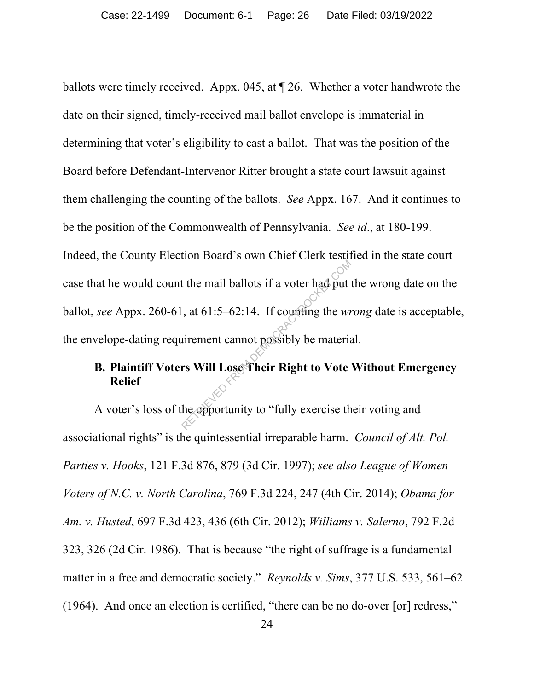ballots were timely received. Appx. 045, at ¶ 26. Whether a voter handwrote the date on their signed, timely-received mail ballot envelope is immaterial in determining that voter's eligibility to cast a ballot. That was the position of the Board before Defendant-Intervenor Ritter brought a state court lawsuit against them challenging the counting of the ballots. *See* Appx. 167. And it continues to be the position of the Commonwealth of Pennsylvania. *See id*., at 180-199. Indeed, the County Election Board's own Chief Clerk testified in the state court case that he would count the mail ballots if a voter had put the wrong date on the ballot, *see* Appx. 260-61, at 61:5–62:14. If counting the *wrong* date is acceptable, the envelope-dating requirement cannot possibly be material. t the mail ballots if a voter had put<br>
, at 61:5–62:14. If counting the *wr*<br>
uirement cannot possibly be materia<br>
rs Will Lose Their Right to Vote<br>
he opportunity to "fully exercise the

# **B. Plaintiff Voters Will Lose Their Right to Vote Without Emergency Relief**

A voter's loss of the opportunity to "fully exercise their voting and associational rights" is the quintessential irreparable harm. *Council of Alt. Pol. Parties v. Hooks*, 121 F.3d 876, 879 (3d Cir. 1997); *see also League of Women Voters of N.C. v. North Carolina*, 769 F.3d 224, 247 (4th Cir. 2014); *Obama for Am. v. Husted*, 697 F.3d 423, 436 (6th Cir. 2012); *Williams v. Salerno*, 792 F.2d 323, 326 (2d Cir. 1986). That is because "the right of suffrage is a fundamental matter in a free and democratic society." *Reynolds v. Sims*, 377 U.S. 533, 561–62 (1964). And once an election is certified, "there can be no do-over [or] redress,"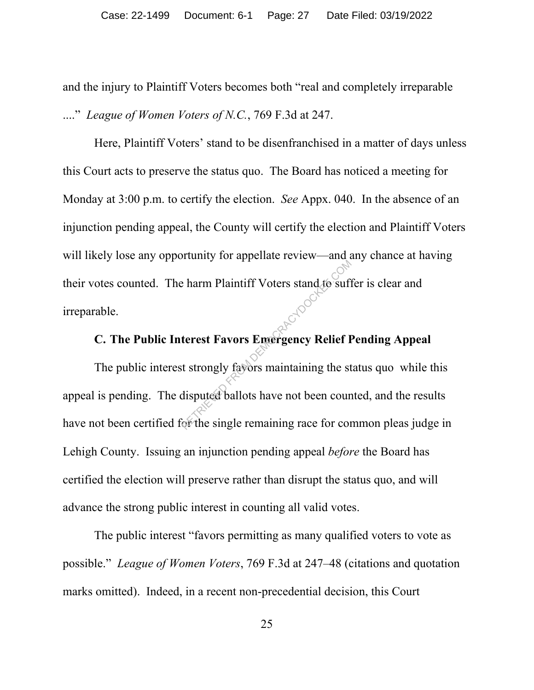and the injury to Plaintiff Voters becomes both "real and completely irreparable ...." *League of Women Voters of N.C.*, 769 F.3d at 247.

Here, Plaintiff Voters' stand to be disenfranchised in a matter of days unless this Court acts to preserve the status quo. The Board has noticed a meeting for Monday at 3:00 p.m. to certify the election. *See* Appx. 040. In the absence of an injunction pending appeal, the County will certify the election and Plaintiff Voters will likely lose any opportunity for appellate review—and any chance at having their votes counted. The harm Plaintiff Voters stand to suffer is clear and irreparable. irreparable.

#### **C. The Public Interest Favors Emergency Relief Pending Appeal**

The public interest strongly favors maintaining the status quo while this appeal is pending. The disputed ballots have not been counted, and the results have not been certified for the single remaining race for common pleas judge in Lehigh County. Issuing an injunction pending appeal *before* the Board has certified the election will preserve rather than disrupt the status quo, and will advance the strong public interest in counting all valid votes. Paintiff Voters stand to suff<br>
Retrest Favors Emergency Relief I<br>
Retrest Favors Emergency Relief I<br>
Retrest Favors Emergency Relief I<br>
Retrest Sallots have not been counter<br>
The single remaining race for contract of the s

The public interest "favors permitting as many qualified voters to vote as possible." *League of Women Voters*, 769 F.3d at 247–48 (citations and quotation marks omitted). Indeed, in a recent non-precedential decision, this Court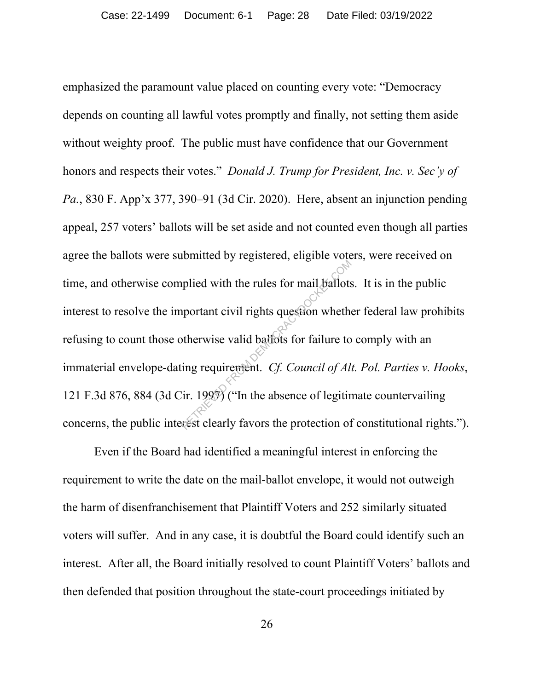emphasized the paramount value placed on counting every vote: "Democracy depends on counting all lawful votes promptly and finally, not setting them aside without weighty proof. The public must have confidence that our Government honors and respects their votes." *Donald J. Trump for President, Inc. v. Sec'y of Pa.*, 830 F. App'x 377, 390–91 (3d Cir. 2020). Here, absent an injunction pending appeal, 257 voters' ballots will be set aside and not counted even though all parties agree the ballots were submitted by registered, eligible voters, were received on time, and otherwise complied with the rules for mail ballots. It is in the public interest to resolve the important civil rights question whether federal law prohibits refusing to count those otherwise valid ballots for failure to comply with an immaterial envelope-dating requirement. *Cf. Council of Alt. Pol. Parties v. Hooks*, 121 F.3d 876, 884 (3d Cir. 1997) ("In the absence of legitimate countervailing concerns, the public interest clearly favors the protection of constitutional rights."). plied with the rules for mail ballots<br>portant civil rights question whether<br>therwise valid ballots for failure to<br>ing requirement. Cf. Council of Al.<br>ir. 1997) ("In the absence of legitir<br>rest clearly favors the protection

Even if the Board had identified a meaningful interest in enforcing the requirement to write the date on the mail-ballot envelope, it would not outweigh the harm of disenfranchisement that Plaintiff Voters and 252 similarly situated voters will suffer. And in any case, it is doubtful the Board could identify such an interest. After all, the Board initially resolved to count Plaintiff Voters' ballots and then defended that position throughout the state-court proceedings initiated by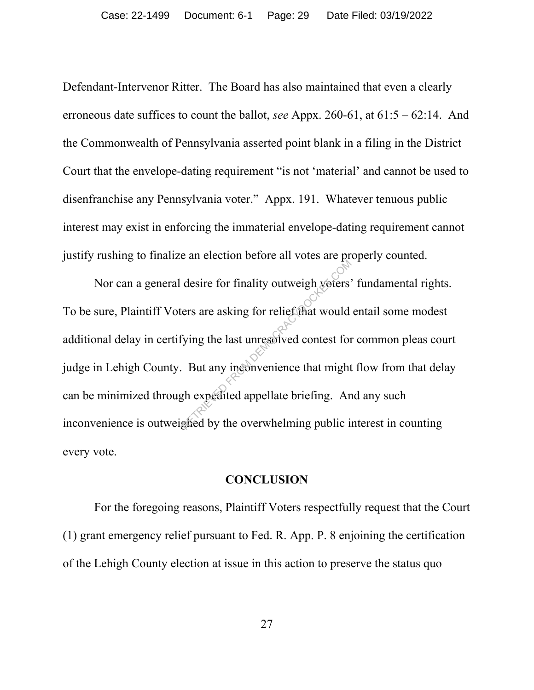Defendant-Intervenor Ritter. The Board has also maintained that even a clearly erroneous date suffices to count the ballot, *see* Appx. 260-61, at 61:5 – 62:14. And the Commonwealth of Pennsylvania asserted point blank in a filing in the District Court that the envelope-dating requirement "is not 'material' and cannot be used to disenfranchise any Pennsylvania voter." Appx. 191. Whatever tenuous public interest may exist in enforcing the immaterial envelope-dating requirement cannot justify rushing to finalize an election before all votes are properly counted.

Nor can a general desire for finality outweigh voters' fundamental rights. To be sure, Plaintiff Voters are asking for relief that would entail some modest additional delay in certifying the last unresolved contest for common pleas court judge in Lehigh County. But any inconvenience that might flow from that delay can be minimized through expedited appellate briefing. And any such inconvenience is outweighed by the overwhelming public interest in counting every vote. desire for finality outweigh voters<br>ers are asking for relief that would<br>ying the last unresolved contest for<br>But any inconvenience that might<br>ghe expedited appellate briefing. An<br>ghed by the overwhelming public is

#### **CONCLUSION**

For the foregoing reasons, Plaintiff Voters respectfully request that the Court (1) grant emergency relief pursuant to Fed. R. App. P. 8 enjoining the certification of the Lehigh County election at issue in this action to preserve the status quo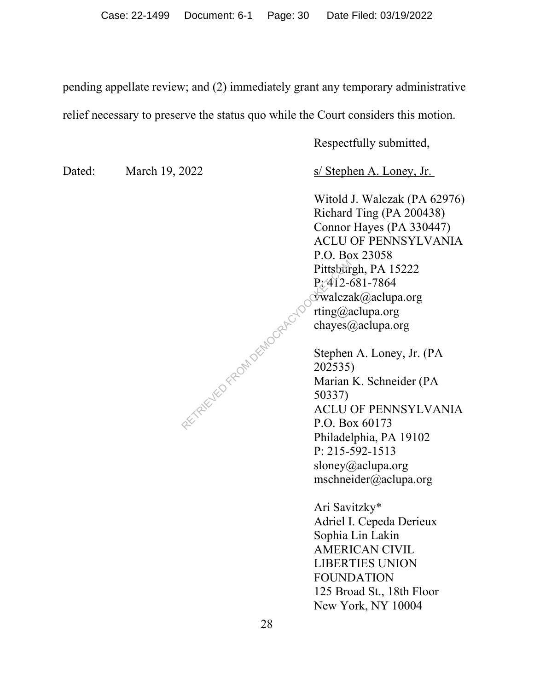pending appellate review; and (2) immediately grant any temporary administrative relief necessary to preserve the status quo while the Court considers this motion.

Respectfully submitted,

Dated: March 19, 2022 s/ Stephen A. Loney, Jr.

Witold J. Walczak (PA 62976) Richard Ting (PA 200438) Connor Hayes (PA 330447) ACLU OF PENNSYLVANIA P.O. Box 23058 Pittsburgh, PA 15222 P: 412-681-7864 vwalczak@aclupa.org rting@aclupa.org chayes@aclupa.org

Stephen A. Loney, Jr. (PA 202535) Marian K. Schneider (PA 50337) ACLU OF PENNSYLVANIA P.O. Box 60173 Philadelphia, PA 19102 P: 215-592-1513 sloney@aclupa.org mschneider@aclupa.org

Ari Savitzky\* Adriel I. Cepeda Derieux Sophia Lin Lakin AMERICAN CIVIL LIBERTIES UNION FOUNDATION 125 Broad St., 18th Floor New York, NY 10004

RETRIEVED FROM DEMOCRACYO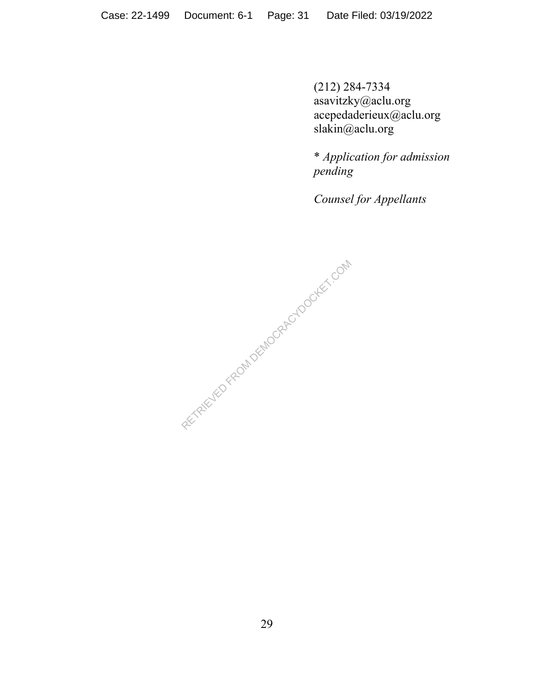(212) 284-7334 asavitzky@aclu.org acepedaderieux@aclu.org slakin@aclu.org

\* *Application for admission pending*

*Counsel for Appellants*

RECTRICITED FROM DEMOCRACY DOCKET.COM